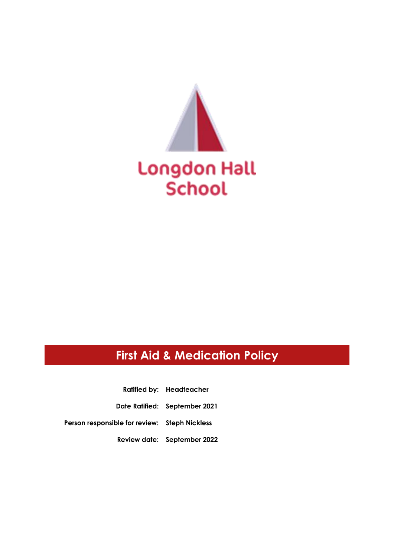

# **First Aid & Medication Policy**

**Ratified by: Headteacher**

**Date Ratified: September 2021**

**Person responsible for review: Steph Nickless**

**Review date: September 2022**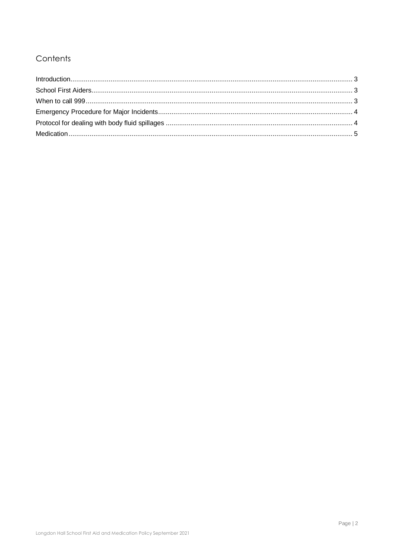## Contents

| Introduction 1, 3 |  |
|-------------------|--|
|                   |  |
|                   |  |
|                   |  |
|                   |  |
|                   |  |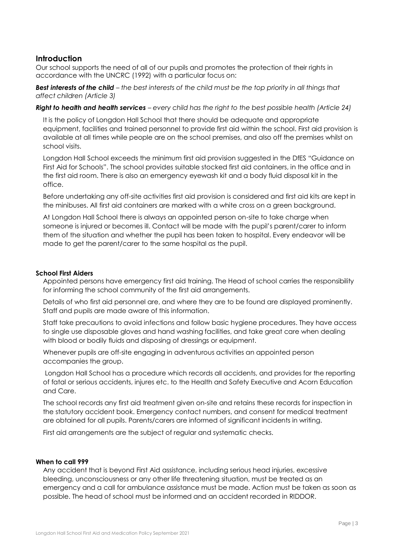### <span id="page-2-0"></span>**Introduction**

Our school supports the need of all of our pupils and promotes the protection of their rights in accordance with the UNCRC (1992) with a particular focus on:

*Best interests of the child – the best interests of the child must be the top priority in all things that affect children (Article 3)*

#### *Right to health and health services – every child has the right to the best possible health (Article 24)*

It is the policy of Longdon Hall School that there should be adequate and appropriate equipment, facilities and trained personnel to provide first aid within the school. First aid provision is available at all times while people are on the school premises, and also off the premises whilst on school visits.

Longdon Hall School exceeds the minimum first aid provision suggested in the DfES "Guidance on First Aid for Schools". The school provides suitable stocked first aid containers, in the office and in the first aid room. There is also an emergency eyewash kit and a body fluid disposal kit in the office.

Before undertaking any off-site activities first aid provision is considered and first aid kits are kept in the minibuses. All first aid containers are marked with a white cross on a green background.

At Longdon Hall School there is always an appointed person on-site to take charge when someone is injured or becomes ill. Contact will be made with the pupil's parent/carer to inform them of the situation and whether the pupil has been taken to hospital. Every endeavor will be made to get the parent/carer to the same hospital as the pupil.

#### <span id="page-2-1"></span>**School First Aiders**

Appointed persons have emergency first aid training. The Head of school carries the responsibility for informing the school community of the first aid arrangements.

Details of who first aid personnel are, and where they are to be found are displayed prominently. Staff and pupils are made aware of this information.

Staff take precautions to avoid infections and follow basic hygiene procedures. They have access to single use disposable gloves and hand washing facilities, and take great care when dealing with blood or bodily fluids and disposing of dressings or equipment.

Whenever pupils are off-site engaging in adventurous activities an appointed person accompanies the group.

Longdon Hall School has a procedure which records all accidents, and provides for the reporting of fatal or serious accidents, injures etc. to the Health and Safety Executive and Acorn Education and Care.

The school records any first aid treatment given on-site and retains these records for inspection in the statutory accident book. Emergency contact numbers, and consent for medical treatment are obtained for all pupils. Parents/carers are informed of significant incidents in writing.

First aid arrangements are the subject of regular and systematic checks.

#### <span id="page-2-2"></span>**When to call 999**

Any accident that is beyond First Aid assistance, including serious head injuries, excessive bleeding, unconsciousness or any other life threatening situation, must be treated as an emergency and a call for ambulance assistance must be made. Action must be taken as soon as possible. The head of school must be informed and an accident recorded in RIDDOR.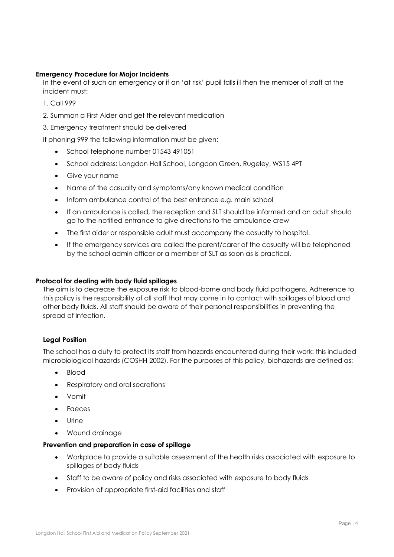#### <span id="page-3-0"></span>**Emergency Procedure for Major Incidents**

In the event of such an emergency or if an 'at risk' pupil falls ill then the member of staff at the incident must:

- 1. Call 999
- 2. Summon a First Aider and get the relevant medication
- 3. Emergency treatment should be delivered

If phoning 999 the following information must be given:

- School telephone number 01543 491051
- School address: Longdon Hall School, Longdon Green, Rugeley, WS15 4PT
- Give your name
- Name of the casualty and symptoms/any known medical condition
- Inform ambulance control of the best entrance e.g. main school
- If an ambulance is called, the reception and SLT should be informed and an adult should go to the notified entrance to give directions to the ambulance crew
- The first aider or responsible adult must accompany the casualty to hospital.
- If the emergency services are called the parent/carer of the casualty will be telephoned by the school admin officer or a member of SLT as soon as is practical.

#### <span id="page-3-1"></span>**Protocol for dealing with body fluid spillages**

The aim is to decrease the exposure risk to blood-borne and body fluid pathogens. Adherence to this policy is the responsibility of all staff that may come in to contact with spillages of blood and other body fluids. All staff should be aware of their personal responsibilities in preventing the spread of infection.

#### **Legal Position**

The school has a duty to protect its staff from hazards encountered during their work: this included microbiological hazards (COSHH 2002). For the purposes of this policy, biohazards are defined as:

- Blood
- Respiratory and oral secretions
- Vomit
- Faeces
- Urine
- Wound drainage

#### **Prevention and preparation in case of spillage**

- Workplace to provide a suitable assessment of the health risks associated with exposure to spillages of body fluids
- Staff to be aware of policy and risks associated with exposure to body fluids
- Provision of appropriate first-aid facilities and staff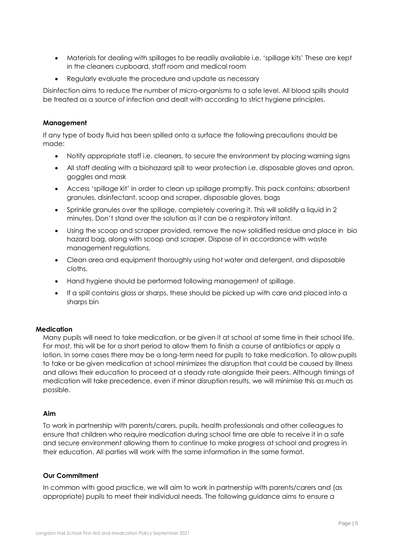- Materials for dealing with spillages to be readily available i.e. 'spillage kits' These are kept in the cleaners cupboard, staff room and medical room
- Regularly evaluate the procedure and update as necessary

Disinfection aims to reduce the number of micro-organisms to a safe level. All blood spills should be treated as a source of infection and dealt with according to strict hygiene principles.

#### **Management**

If any type of body fluid has been spilled onto a surface the following precautions should be made:

- Notify appropriate staff i.e. cleaners, to secure the environment by placing warning signs
- All staff dealing with a biohazard spill to wear protection i.e. disposable gloves and apron, goggles and mask
- Access 'spillage kit' in order to clean up spillage promptly. This pack contains; absorbent granules, disinfectant, scoop and scraper, disposable gloves, bags
- Sprinkle granules over the spillage, completely covering it. This will solidify a liquid in 2 minutes. Don't stand over the solution as it can be a respiratory irritant.
- Using the scoop and scraper provided, remove the now solidified residue and place in bio hazard bag, along with scoop and scraper. Dispose of in accordance with waste management regulations.
- Clean area and equipment thoroughly using hot water and detergent, and disposable cloths.
- Hand hygiene should be performed following management of spillage.
- If a spill contains glass or sharps, these should be picked up with care and placed into a sharps bin

#### <span id="page-4-0"></span>**Medication**

Many pupils will need to take medication, or be given it at school at some time in their school life. For most, this will be for a short period to allow them to finish a course of antibiotics or apply a lotion. In some cases there may be a long-term need for pupils to take medication. To allow pupils to take or be given medication at school minimizes the disruption that could be caused by illness and allows their education to proceed at a steady rate alongside their peers. Although timings of medication will take precedence, even if minor disruption results, we will minimise this as much as possible.

#### **Aim**

To work in partnership with parents/carers, pupils, health professionals and other colleagues to ensure that children who require medication during school time are able to receive it in a safe and secure environment allowing them to continue to make progress at school and progress in their education. All parties will work with the same information in the same format.

#### **Our Commitment**

In common with good practice, we will aim to work in partnership with parents/carers and (as appropriate) pupils to meet their individual needs. The following guidance aims to ensure a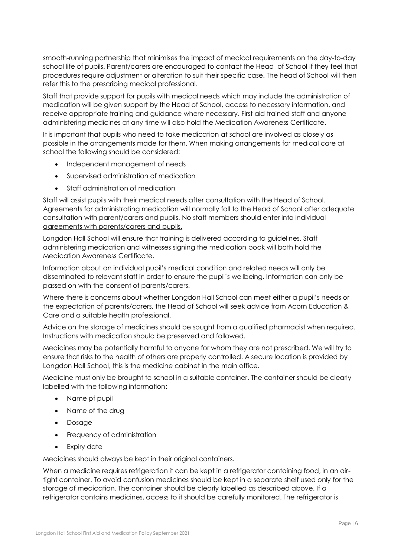smooth-running partnership that minimises the impact of medical requirements on the day-to-day school life of pupils. Parent/carers are encouraged to contact the Head of School if they feel that procedures require adjustment or alteration to suit their specific case. The head of School will then refer this to the prescribing medical professional.

Staff that provide support for pupils with medical needs which may include the administration of medication will be given support by the Head of School, access to necessary information, and receive appropriate training and guidance where necessary. First aid trained staff and anyone administering medicines at any time will also hold the Medication Awareness Certificate.

It is important that pupils who need to take medication at school are involved as closely as possible in the arrangements made for them. When making arrangements for medical care at school the following should be considered:

- Independent management of needs
- Supervised administration of medication
- Staff administration of medication

Staff will assist pupils with their medical needs after consultation with the Head of School. Agreements for administrating medication will normally fall to the Head of School after adequate consultation with parent/carers and pupils. No staff members should enter into individual agreements with parents/carers and pupils.

Longdon Hall School will ensure that training is delivered according to guidelines. Staff administering medication and witnesses signing the medication book will both hold the Medication Awareness Certificate.

Information about an individual pupil's medical condition and related needs will only be disseminated to relevant staff in order to ensure the pupil's wellbeing. Information can only be passed on with the consent of parents/carers.

Where there is concerns about whether Longdon Hall School can meet either a pupil's needs or the expectation of parents/carers, the Head of School will seek advice from Acorn Education & Care and a suitable health professional.

Advice on the storage of medicines should be sought from a qualified pharmacist when required. Instructions with medication should be preserved and followed.

Medicines may be potentially harmful to anyone for whom they are not prescribed. We will try to ensure that risks to the health of others are properly controlled. A secure location is provided by Longdon Hall School, this is the medicine cabinet in the main office.

Medicine must only be brought to school in a suitable container. The container should be clearly labelled with the following information:

- Name pf pupil
- Name of the drug
- Dosage
- Frequency of administration
- Expiry date

Medicines should always be kept in their original containers.

When a medicine requires refrigeration it can be kept in a refrigerator containing food, in an airtight container. To avoid confusion medicines should be kept in a separate shelf used only for the storage of medication. The container should be clearly labelled as described above. If a refrigerator contains medicines, access to it should be carefully monitored. The refrigerator is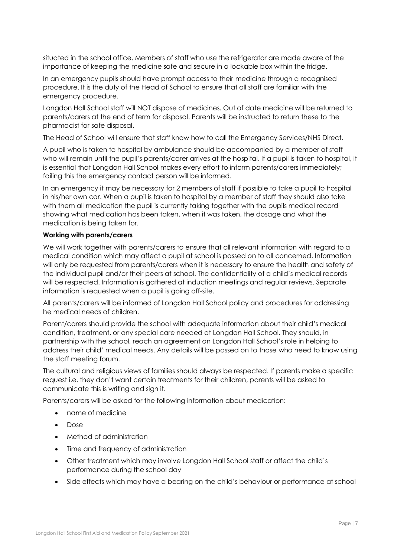situated in the school office. Members of staff who use the refrigerator are made aware of the importance of keeping the medicine safe and secure in a lockable box within the fridge.

In an emergency pupils should have prompt access to their medicine through a recognised procedure. It is the duty of the Head of School to ensure that all staff are familiar with the emergency procedure.

Longdon Hall School staff will NOT dispose of medicines. Out of date medicine will be returned to parents/carers at the end of term for disposal. Parents will be instructed to return these to the pharmacist for safe disposal.

The Head of School will ensure that staff know how to call the Emergency Services/NHS Direct.

A pupil who is taken to hospital by ambulance should be accompanied by a member of staff who will remain until the pupil's parents/carer arrives at the hospital. If a pupil is taken to hospital, it is essential that Longdon Hall School makes every effort to inform parents/carers immediately; failing this the emergency contact person will be informed.

In an emergency it may be necessary for 2 members of staff if possible to take a pupil to hospital in his/her own car. When a pupil is taken to hospital by a member of staff they should also take with them all medication the pupil is currently taking together with the pupils medical record showing what medication has been taken, when it was taken, the dosage and what the medication is being taken for.

#### **Working with parents/carers**

We will work together with parents/carers to ensure that all relevant information with regard to a medical condition which may affect a pupil at school is passed on to all concerned. Information will only be requested from parents/carers when it is necessary to ensure the health and safety of the individual pupil and/or their peers at school. The confidentiality of a child's medical records will be respected. Information is gathered at induction meetings and regular reviews. Separate information is requested when a pupil is going off-site.

All parents/carers will be informed of Longdon Hall School policy and procedures for addressing he medical needs of children.

Parent/carers should provide the school with adequate information about their child's medical condition, treatment, or any special care needed at Longdon Hall School. They should, in partnership with the school, reach an agreement on Longdon Hall School's role in helping to address their child' medical needs. Any details will be passed on to those who need to know using the staff meeting forum.

The cultural and religious views of families should always be respected. If parents make a specific request i.e. they don't want certain treatments for their children, parents will be asked to communicate this is writing and sign it.

Parents/carers will be asked for the following information about medication:

- name of medicine
- Dose
- Method of administration
- Time and frequency of administration
- Other treatment which may involve Longdon Hall School staff or affect the child's performance during the school day
- Side effects which may have a bearing on the child's behaviour or performance at school